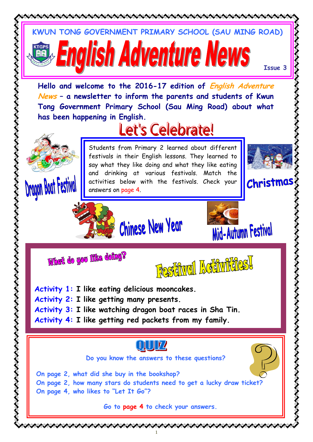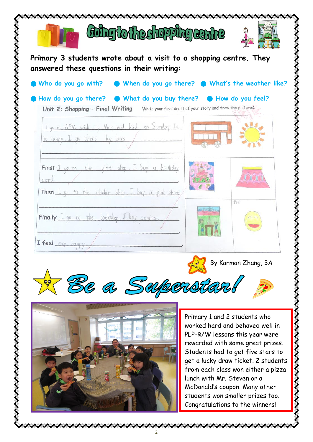

from each class won either a pizza lunch with Mr. Steven or a McDonald's coupon. Many other students won smaller prizes too. Congratulations to the winners!

とときききききききききききき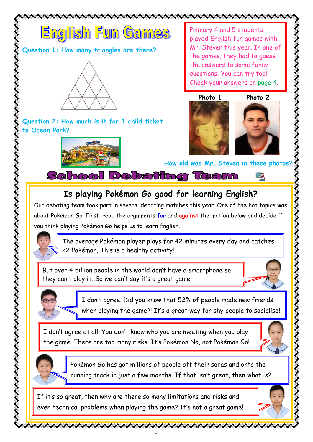

ノイ・ノイ・ノイ・ノイ・ノイ